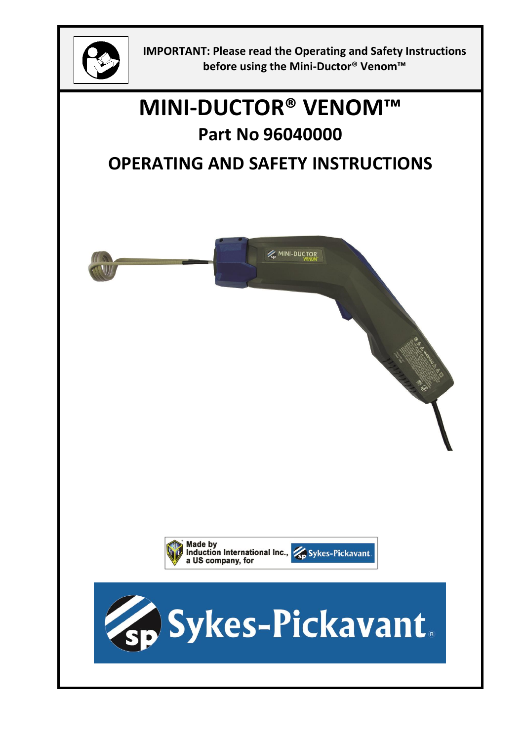

**IMPORTANT: Please read the Operating and Safety Instructions before using the Mini-Ductor® Venom™**

# **MINI-DUCTOR® VENOM™**

## **Part No 96040000**

## **OPERATING AND SAFETY INSTRUCTIONS**

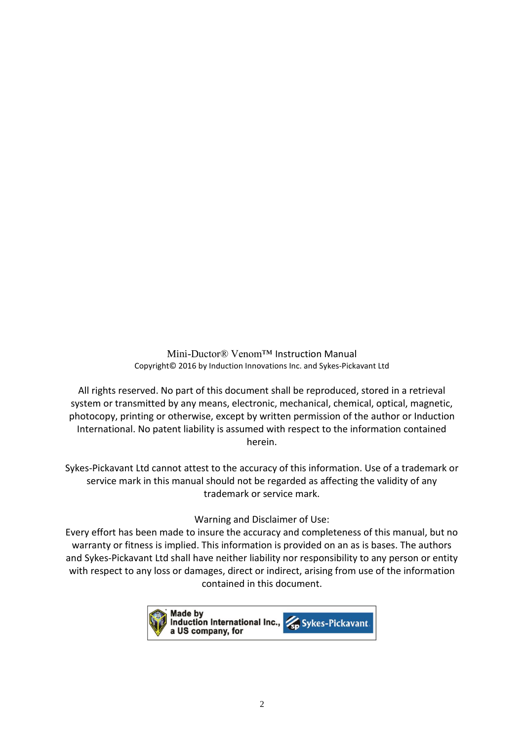Mini-Ductor® Venom™ Instruction Manual Copyright© 2016 by Induction Innovations Inc. and Sykes‐Pickavant Ltd

All rights reserved. No part of this document shall be reproduced, stored in a retrieval system or transmitted by any means, electronic, mechanical, chemical, optical, magnetic, photocopy, printing or otherwise, except by written permission of the author or Induction International. No patent liability is assumed with respect to the information contained herein.

Sykes-Pickavant Ltd cannot attest to the accuracy of this information. Use of a trademark or service mark in this manual should not be regarded as affecting the validity of any trademark or service mark.

#### Warning and Disclaimer of Use:

Every effort has been made to insure the accuracy and completeness of this manual, but no warranty or fitness is implied. This information is provided on an as is bases. The authors and Sykes-Pickavant Ltd shall have neither liability nor responsibility to any person or entity with respect to any loss or damages, direct or indirect, arising from use of the information contained in this document.

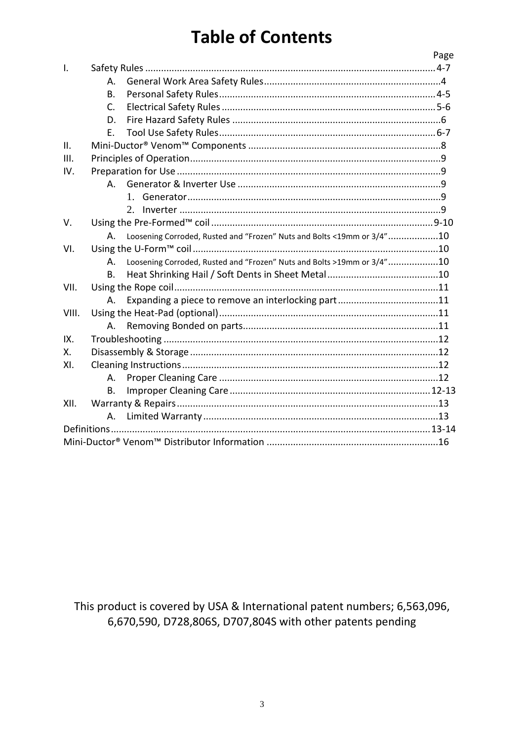## **Table of Contents**

|              |           |                                                                        | Page |  |
|--------------|-----------|------------------------------------------------------------------------|------|--|
| $\mathsf{L}$ |           |                                                                        |      |  |
|              | А.        |                                                                        |      |  |
|              | B.        |                                                                        |      |  |
|              | C.        |                                                                        |      |  |
|              | D.        |                                                                        |      |  |
|              | Ε.        |                                                                        |      |  |
| II.          |           |                                                                        |      |  |
| III.         |           |                                                                        |      |  |
| IV.          |           |                                                                        |      |  |
|              | A.        |                                                                        |      |  |
|              |           | $1 \quad$                                                              |      |  |
|              |           | 2.                                                                     |      |  |
| V.           |           |                                                                        |      |  |
|              | А.        | Loosening Corroded, Rusted and "Frozen" Nuts and Bolts <19mm or 3/4"10 |      |  |
| VI.          |           |                                                                        |      |  |
|              | A.        | Loosening Corroded, Rusted and "Frozen" Nuts and Bolts >19mm or 3/4"10 |      |  |
|              | Β.        |                                                                        |      |  |
| VII.         |           |                                                                        |      |  |
|              | А.        |                                                                        |      |  |
| VIII.        |           |                                                                        |      |  |
|              | A.        |                                                                        |      |  |
| IX.          |           |                                                                        |      |  |
| Χ.           |           |                                                                        |      |  |
| XI.          |           |                                                                        |      |  |
|              | А.        |                                                                        |      |  |
|              | <b>B.</b> |                                                                        |      |  |
| XII.         |           |                                                                        |      |  |
|              | А.        |                                                                        |      |  |
|              |           |                                                                        |      |  |
|              |           |                                                                        |      |  |
|              |           |                                                                        |      |  |

This product is covered by USA & International patent numbers; 6,563,096, 6,670,590, D728,806S, D707,804S with other patents pending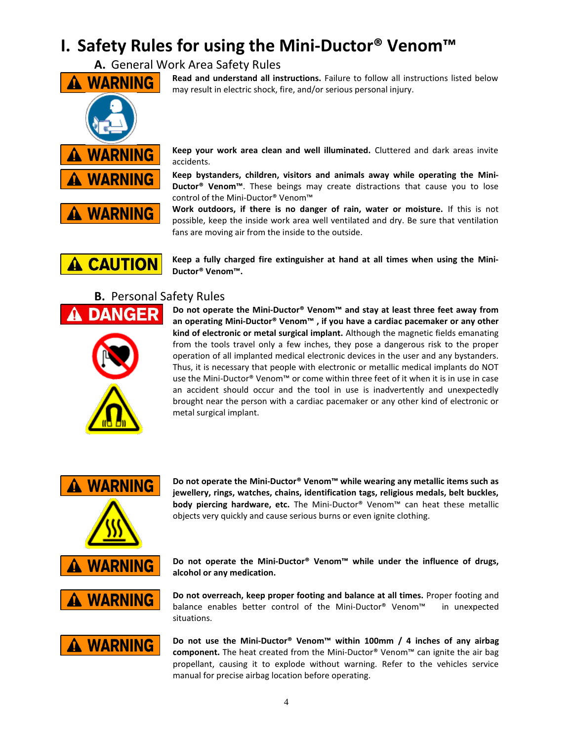## **I. Safety Rules for using the Mini-Ductor® Venom™**

**A.** General Work Area Safety Rules



**Read and understand all instructions.** Failure to follow all instructions listed below may result in electric shock, fire, and/or serious personal injury.

**Keep your work area clean and well illuminated.** Cluttered and dark areas invite accidents.

**Keep bystanders, children, visitors and animals away while operating the Mini-Ductor® Venom™**. These beings may create distractions that cause you to lose control of the Mini-Ductor® Venom™

**Work outdoors, if there is no danger of rain, water or moisture.** If this is not possible, keep the inside work area well ventilated and dry. Be sure that ventilation fans are moving air from the inside to the outside.

**Keep a fully charged fire extinguisher at hand at all times when using the Mini-Ductor® Venom™.**

#### **B.** Personal Safety Rules



**A CAUTION** 

**Do not operate the Mini-Ductor® Venom™ and stay at least three feet away from an operating Mini-Ductor® Venom™ , if you have a cardiac pacemaker or any other kind of electronic or metal surgical implant.** Although the magnetic fields emanating from the tools travel only a few inches, they pose a dangerous risk to the proper operation of all implanted medical electronic devices in the user and any bystanders. Thus, it is necessary that people with electronic or metallic medical implants do NOT use the Mini-Ductor® Venom™ or come within three feet of it when it is in use in case an accident should occur and the tool in use is inadvertently and unexpectedly brought near the person with a cardiac pacemaker or any other kind of electronic or metal surgical implant.



**Do not operate the Mini-Ductor® Venom™ while wearing any metallic items such as jewellery, rings, watches, chains, identification tags, religious medals, belt buckles, body piercing hardware, etc.** The Mini-Ductor® Venom™ can heat these metallic objects very quickly and cause serious burns or even ignite clothing.

alcohol or any medication. **Do not operate the Mini-Ductor® Venom™ while under the influence of drugs,** 

**Do not overreach, keep proper footing and balance at all times.** Proper footing and balance enables better control of the Mini-Ductor® Venom™ in unexpected situations.



**Do not use the Mini-Ductor® Venom™ within 100mm / 4 inches of any airbag component.** The heat created from the Mini-Ductor® Venom™ can ignite the air bag propellant, causing it to explode without warning. Refer to the vehicles service manual for precise airbag location before operating.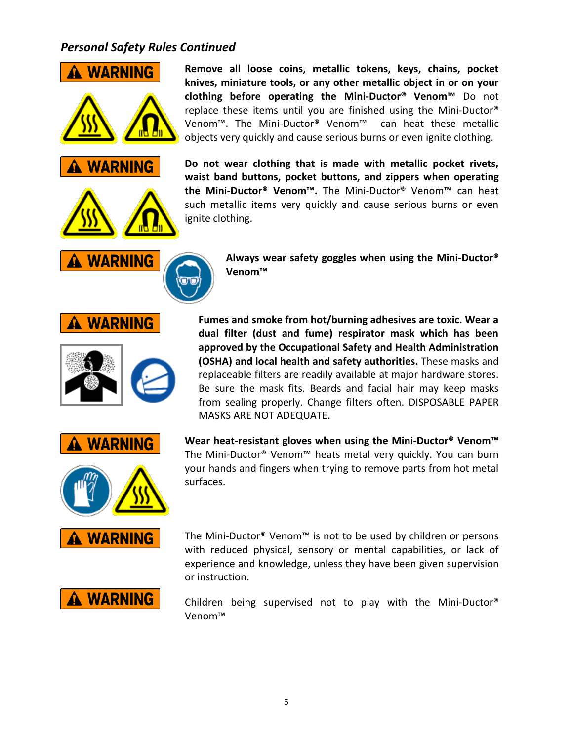### *Personal Safety Rules Continued*



**Remove all loose coins, metallic tokens, keys, chains, pocket knives, miniature tools, or any other metallic object in or on your clothing before operating the Mini-Ductor® Venom™** Do not replace these items until you are finished using the Mini-Ductor® Venom™. The Mini-Ductor® Venom™ can heat these metallic objects very quickly and cause serious burns or even ignite clothing.

**Do not wear clothing that is made with metallic pocket rivets, waist band buttons, pocket buttons, and zippers when operating the Mini-Ductor® Venom™.** The Mini-Ductor® Venom™ can heat such metallic items very quickly and cause serious burns or even ignite clothing.

> **Always wear safety goggles when using the Mini-Ductor® Venom™**

**Fumes and smoke from hot/burning adhesives are toxic. Wear a dual filter (dust and fume) respirator mask which has been approved by the Occupational Safety and Health Administration (OSHA) and local health and safety authorities.** These masks and replaceable filters are readily available at major hardware stores. Be sure the mask fits. Beards and facial hair may keep masks from sealing properly. Change filters often. DISPOSABLE PAPER MASKS ARE NOT ADEQUATE.

**Wear heat-resistant gloves when using the Mini-Ductor® Venom™** The Mini-Ductor® Venom™ heats metal very quickly. You can burn your hands and fingers when trying to remove parts from hot metal surfaces.

The Mini-Ductor® Venom™ is not to be used by children or persons with reduced physical, sensory or mental capabilities, or lack of experience and knowledge, unless they have been given supervision or instruction.

Children being supervised not to play with the Mini-Ductor® Venom™



**A WARNING**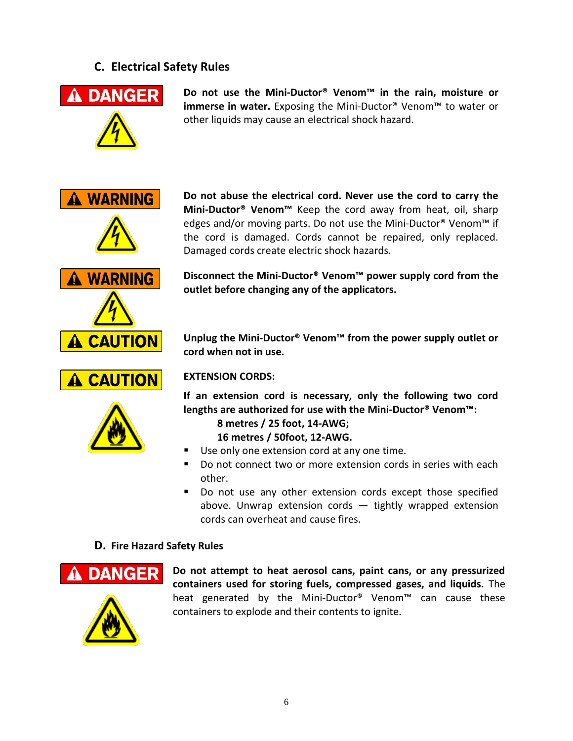#### **C. Electrical Safety Rules**



**Do not use the Mini-Ductor® Venom™ in the rain, moisture or immerse in water.** Exposing the Mini-Ductor® Venom™ to water or other liquids may cause an electrical shock hazard.



A CAUTION

A CAUTION

**Do not abuse the electrical cord. Never use the cord to carry the Mini-Ductor® Venom™** Keep the cord away from heat, oil, sharp edges and/or moving parts. Do not use the Mini-Ductor® Venom<sup>™</sup> if the cord is damaged. Cords cannot be repaired, only replaced. Damaged cords create electric shock hazards.

**Disconnect the Mini-Ductor® Venom™ power supply cord from the outlet before changing any of the applicators.**

**Unplug the Mini-Ductor® Venom™ from the power supply outlet or cord when not in use.**

#### **EXTENSION CORDS:**

**If an extension cord is necessary, only the following two cord lengths are authorized for use with the Mini-Ductor® Venom™:**

**8 metres / 25 foot, 14-AWG; 16 metres / 50foot, 12-AWG.**

- Use only one extension cord at any one time.
- Do not connect two or more extension cords in series with each other.
- Do not use any other extension cords except those specified above. Unwrap extension cords — tightly wrapped extension cords can overheat and cause fires.

#### **D. Fire Hazard Safety Rules**



**Do not attempt to heat aerosol cans, paint cans, or any pressurized containers used for storing fuels, compressed gases, and liquids.** The heat generated by the Mini-Ductor® Venom™ can cause these containers to explode and their contents to ignite.

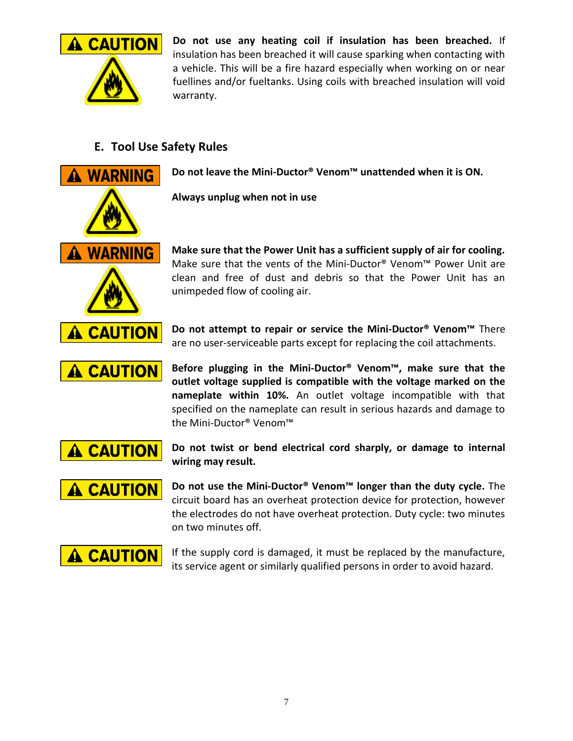

**Do not use any heating coil if insulation has been breached.** If insulation has been breached it will cause sparking when contacting with a vehicle. This will be a fire hazard especially when working on or near fuellines and/or fueltanks. Using coils with breached insulation will void warranty.

### **E. Tool Use Safety Rules**



**Do not leave the Mini-Ductor® Venom™ unattended when it is ON.**

**Always unplug when not in use**

**Make sure that the Power Unit has a sufficient supply of air for cooling.** Make sure that the vents of the Mini-Ductor® Venom™ Power Unit are clean and free of dust and debris so that the Power Unit has an unimpeded flow of cooling air.

**Do not attempt to repair or service the Mini-Ductor® Venom™** There are no user-serviceable parts except for replacing the coil attachments.

**A CAUTION** 

**Before plugging in the Mini-Ductor® Venom™, make sure that the outlet voltage supplied is compatible with the voltage marked on the nameplate within 10%.** An outlet voltage incompatible with that specified on the nameplate can result in serious hazards and damage to the Mini-Ductor® Venom™

A CAUTION

**Do not twist or bend electrical cord sharply, or damage to internal wiring may result.**

**A CAUTION** 

**Do not use the Mini-Ductor® Venom™ longer than the duty cycle.** The circuit board has an overheat protection device for protection, however the electrodes do not have overheat protection. Duty cycle: two minutes on two minutes off.



If the supply cord is damaged, it must be replaced by the manufacture, its service agent or similarly qualified persons in order to avoid hazard.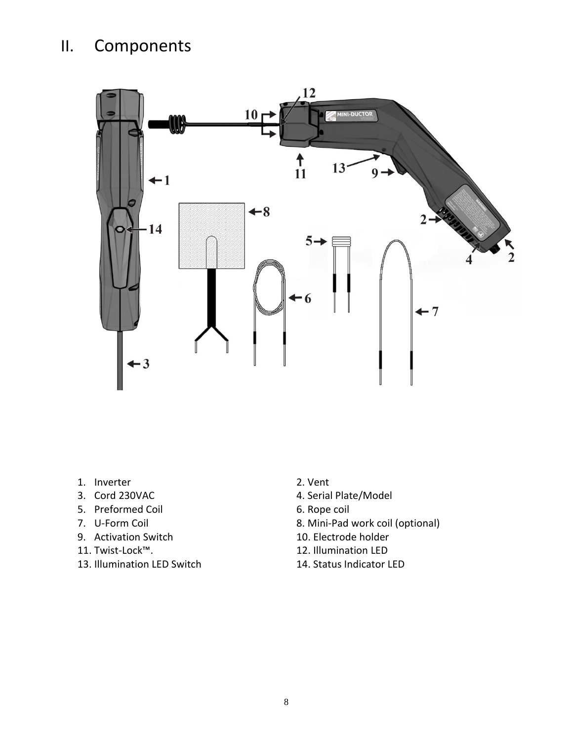## II. Components



- 1. Inverter 2. Vent
- 
- 5. Preformed Coil 6. Rope coil
- 
- 9. Activation Switch<br>11. Twist-Lock™.
- 
- 13. Illumination LED Switch 14. Status Indicator LED
- 
- 3. Cord 230VAC 4. Serial Plate/Model
	-
- 7. U-Form Coil<br>
9. Activation Switch **8. Mini-Pad work coil (optional)**<br>
10. Electrode holder
	-
	- 12. Illumination LED
	-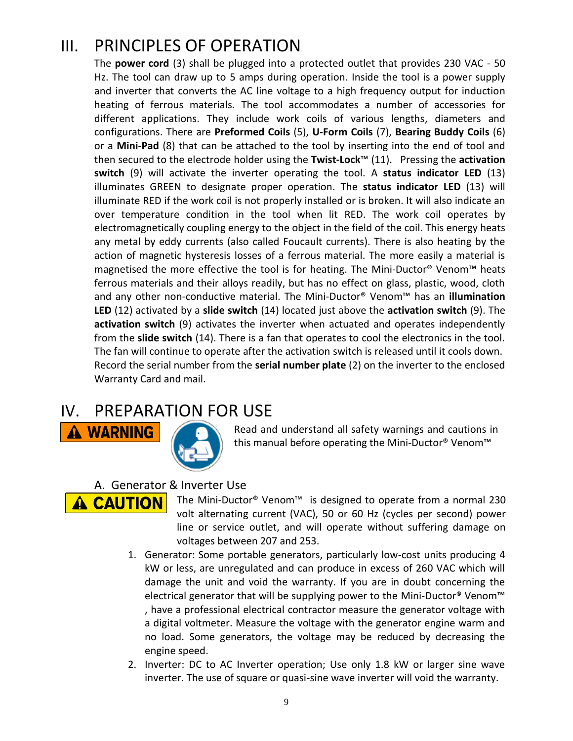### III. PRINCIPLES OF OPERATION

The **power cord** (3) shall be plugged into a protected outlet that provides 230 VAC - 50 Hz. The tool can draw up to 5 amps during operation. Inside the tool is a power supply and inverter that converts the AC line voltage to a high frequency output for induction heating of ferrous materials. The tool accommodates a number of accessories for different applications. They include work coils of various lengths, diameters and configurations. There are **Preformed Coils** (5), **U-Form Coils** (7), **Bearing Buddy Coils** (6) or a **Mini-Pad** (8) that can be attached to the tool by inserting into the end of tool and then secured to the electrode holder using the **Twist-Lock**™ (11). Pressing the **activation switch** (9) will activate the inverter operating the tool. A **status indicator LED** (13) illuminates GREEN to designate proper operation. The **status indicator LED** (13) will illuminate RED if the work coil is not properly installed or is broken. It will also indicate an over temperature condition in the tool when lit RED. The work coil operates by electromagnetically coupling energy to the object in the field of the coil. This energy heats any metal by eddy currents (also called Foucault currents). There is also heating by the action of magnetic hysteresis losses of a ferrous material. The more easily a material is magnetised the more effective the tool is for heating. The Mini-Ductor® Venom™ heats ferrous materials and their alloys readily, but has no effect on glass, plastic, wood, cloth and any other non-conductive material. The Mini-Ductor® Venom™ has an **illumination LED** (12) activated by a **slide switch** (14) located just above the **activation switch** (9). The **activation switch** (9) activates the inverter when actuated and operates independently from the **slide switch** (14). There is a fan that operates to cool the electronics in the tool. The fan will continue to operate after the activation switch is released until it cools down. Record the serial number from the **serial number plate** (2) on the inverter to the enclosed Warranty Card and mail.

### IV. PREPARATION FOR USE



Read and understand all safety warnings and cautions in this manual before operating the Mini-Ductor® Venom™

A. Generator & Inverter Use



- The Mini-Ductor® Venom™ is designed to operate from a normal 230 volt alternating current (VAC), 50 or 60 Hz (cycles per second) power line or service outlet, and will operate without suffering damage on voltages between 207 and 253.
- 1. Generator: Some portable generators, particularly low-cost units producing 4 kW or less, are unregulated and can produce in excess of 260 VAC which will damage the unit and void the warranty. If you are in doubt concerning the electrical generator that will be supplying power to the Mini-Ductor® Venom™ , have a professional electrical contractor measure the generator voltage with a digital voltmeter. Measure the voltage with the generator engine warm and no load. Some generators, the voltage may be reduced by decreasing the engine speed.
- 2. Inverter: DC to AC Inverter operation; Use only 1.8 kW or larger sine wave inverter. The use of square or quasi-sine wave inverter will void the warranty.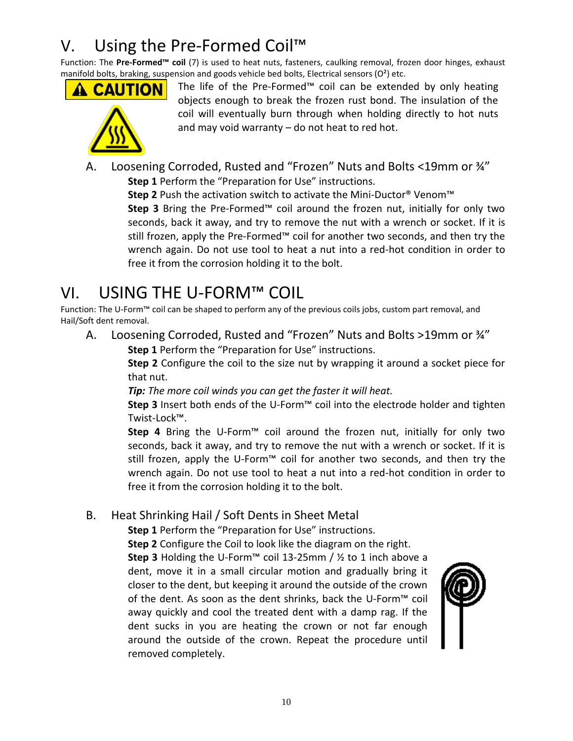## V. Using the Pre-Formed Coil<sup>™</sup>

Function: The **Pre-Formed™ coil** (7) is used to heat nuts, fasteners, caulking removal, frozen door hinges, exhaust manifold bolts, braking, suspension and goods vehicle bed bolts, Electrical sensors ( $O<sup>2</sup>$ ) etc.





The life of the Pre-Formed™ coil can be extended by only heating objects enough to break the frozen rust bond. The insulation of the coil will eventually burn through when holding directly to hot nuts and may void warranty – do not heat to red hot.

A. Loosening Corroded, Rusted and "Frozen" Nuts and Bolts <19mm or ¾" **Step 1** Perform the "Preparation for Use" instructions.

**Step 2** Push the activation switch to activate the Mini-Ductor® Venom™

**Step 3** Bring the Pre-Formed™ coil around the frozen nut, initially for only two seconds, back it away, and try to remove the nut with a wrench or socket. If it is still frozen, apply the Pre-Formed™ coil for another two seconds, and then try the wrench again. Do not use tool to heat a nut into a red-hot condition in order to free it from the corrosion holding it to the bolt.

## VI. USING THE U-FORM™ COIL

Function: The U-Form™ coil can be shaped to perform any of the previous coils jobs, custom part removal, and Hail/Soft dent removal.

A. Loosening Corroded, Rusted and "Frozen" Nuts and Bolts >19mm or ¾" **Step 1** Perform the "Preparation for Use" instructions.

> **Step 2** Configure the coil to the size nut by wrapping it around a socket piece for that nut.

*Tip: The more coil winds you can get the faster it will heat.*

**Step 3** Insert both ends of the U-Form™ coil into the electrode holder and tighten Twist-Lock™.

**Step 4** Bring the U-Form™ coil around the frozen nut, initially for only two seconds, back it away, and try to remove the nut with a wrench or socket. If it is still frozen, apply the U-Form™ coil for another two seconds, and then try the wrench again. Do not use tool to heat a nut into a red-hot condition in order to free it from the corrosion holding it to the bolt.

### B. Heat Shrinking Hail / Soft Dents in Sheet Metal

**Step 1** Perform the "Preparation for Use" instructions.

**Step 2** Configure the Coil to look like the diagram on the right.

**Step 3** Holding the U-Form™ coil 13-25mm / ½ to 1 inch above a dent, move it in a small circular motion and gradually bring it closer to the dent, but keeping it around the outside of the crown of the dent. As soon as the dent shrinks, back the U-Form™ coil away quickly and cool the treated dent with a damp rag. If the dent sucks in you are heating the crown or not far enough around the outside of the crown. Repeat the procedure until removed completely.

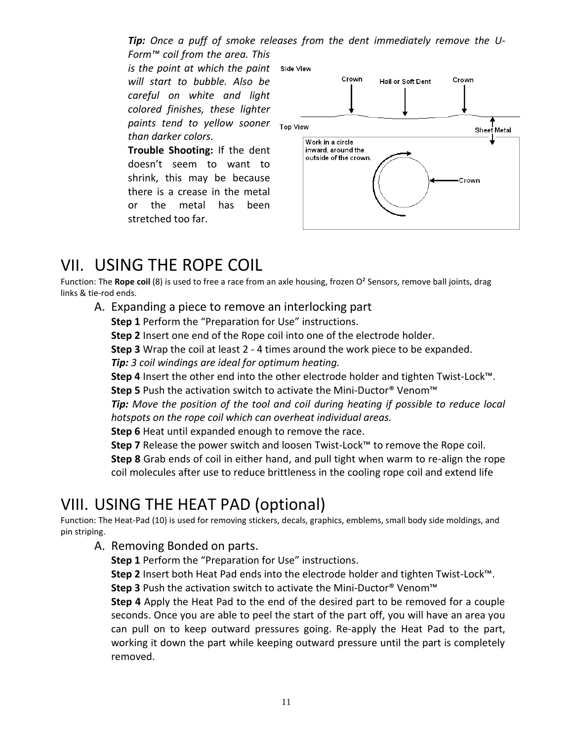*Tip: Once a puff of smoke releases from the dent immediately remove the U-Form™ coil from the area. This* 

*is the point at which the paint will start to bubble. Also be careful on white and light colored finishes, these lighter paints tend to yellow sooner than darker colors.*

**Trouble Shooting:** If the dent doesn't seem to want to shrink, this may be because there is a crease in the metal or the metal has been stretched too far.



### VII. USING THE ROPE COIL

Function: The **Rope coil** (8) is used to free a race from an axle housing, frozen O² Sensors, remove ball joints, drag links & tie-rod ends.

A. Expanding a piece to remove an interlocking part

**Step 1** Perform the "Preparation for Use" instructions.

**Step 2** Insert one end of the Rope coil into one of the electrode holder.

**Step 3** Wrap the coil at least 2 - 4 times around the work piece to be expanded.

*Tip: 3 coil windings are ideal for optimum heating.*

**Step 4** Insert the other end into the other electrode holder and tighten Twist-Lock™.

**Step 5** Push the activation switch to activate the Mini-Ductor® Venom™

*Tip: Move the position of the tool and coil during heating if possible to reduce local hotspots on the rope coil which can overheat individual areas.*

**Step 6** Heat until expanded enough to remove the race.

**Step 7** Release the power switch and loosen Twist-Lock™ to remove the Rope coil.

**Step 8** Grab ends of coil in either hand, and pull tight when warm to re-align the rope coil molecules after use to reduce brittleness in the cooling rope coil and extend life

### VIII. USING THE HEAT PAD (optional)

Function: The Heat-Pad (10) is used for removing stickers, decals, graphics, emblems, small body side moldings, and pin striping.

A. Removing Bonded on parts.

**Step 1** Perform the "Preparation for Use" instructions.

**Step 2** Insert both Heat Pad ends into the electrode holder and tighten Twist-Lock™.

**Step 3** Push the activation switch to activate the Mini-Ductor® Venom™

**Step 4** Apply the Heat Pad to the end of the desired part to be removed for a couple seconds. Once you are able to peel the start of the part off, you will have an area you can pull on to keep outward pressures going. Re-apply the Heat Pad to the part, working it down the part while keeping outward pressure until the part is completely removed.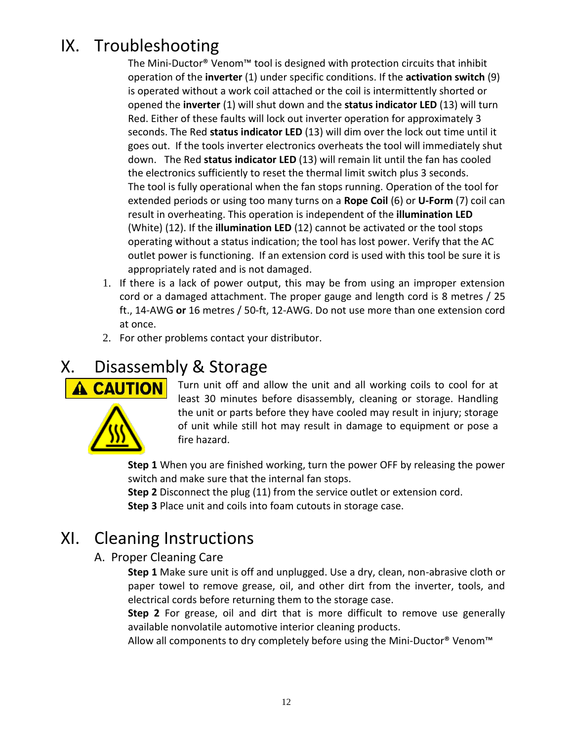## IX. Troubleshooting

The Mini-Ductor® Venom™ tool is designed with protection circuits that inhibit operation of the **inverter** (1) under specific conditions. If the **activation switch** (9) is operated without a work coil attached or the coil is intermittently shorted or opened the **inverter** (1) will shut down and the **status indicator LED** (13) will turn Red. Either of these faults will lock out inverter operation for approximately 3 seconds. The Red **status indicator LED** (13) will dim over the lock out time until it goes out. If the tools inverter electronics overheats the tool will immediately shut down. The Red **status indicator LED** (13) will remain lit until the fan has cooled the electronics sufficiently to reset the thermal limit switch plus 3 seconds. The tool is fully operational when the fan stops running. Operation of the tool for extended periods or using too many turns on a **Rope Coil** (6) or **U-Form** (7) coil can result in overheating. This operation is independent of the **illumination LED** (White) (12). If the **illumination LED** (12) cannot be activated or the tool stops operating without a status indication; the tool has lost power. Verify that the AC outlet power is functioning. If an extension cord is used with this tool be sure it is appropriately rated and is not damaged.

- 1. If there is a lack of power output, this may be from using an improper extension cord or a damaged attachment. The proper gauge and length cord is 8 metres / 25 ft., 14-AWG **or** 16 metres / 50-ft, 12-AWG. Do not use more than one extension cord at once.
- 2. For other problems contact your distributor.

## X. Disassembly & Storage



Turn unit off and allow the unit and all working coils to cool for at least 30 minutes before disassembly, cleaning or storage. Handling the unit or parts before they have cooled may result in injury; storage of unit while still hot may result in damage to equipment or pose a fire hazard.

**Step 1** When you are finished working, turn the power OFF by releasing the power switch and make sure that the internal fan stops.

**Step 2** Disconnect the plug (11) from the service outlet or extension cord. **Step 3** Place unit and coils into foam cutouts in storage case.

### XI. Cleaning Instructions

### A. Proper Cleaning Care

**Step 1** Make sure unit is off and unplugged. Use a dry, clean, non-abrasive cloth or paper towel to remove grease, oil, and other dirt from the inverter, tools, and electrical cords before returning them to the storage case.

**Step 2** For grease, oil and dirt that is more difficult to remove use generally available nonvolatile automotive interior cleaning products.

Allow all components to dry completely before using the Mini-Ductor® Venom™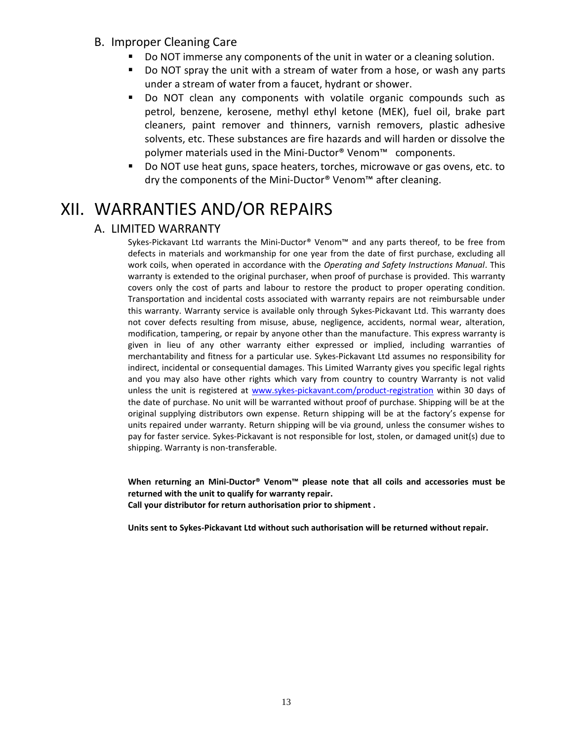- B. Improper Cleaning Care
	- Do NOT immerse any components of the unit in water or a cleaning solution.
	- Do NOT spray the unit with a stream of water from a hose, or wash any parts under a stream of water from a faucet, hydrant or shower.
	- Do NOT clean any components with volatile organic compounds such as petrol, benzene, kerosene, methyl ethyl ketone (MEK), fuel oil, brake part cleaners, paint remover and thinners, varnish removers, plastic adhesive solvents, etc. These substances are fire hazards and will harden or dissolve the polymer materials used in the Mini-Ductor® Venom<sup>™</sup> components.
	- Do NOT use heat guns, space heaters, torches, microwave or gas ovens, etc. to dry the components of the Mini-Ductor® Venom™ after cleaning.

### XII. WARRANTIES AND/OR REPAIRS

#### A. LIMITED WARRANTY

Sykes-Pickavant Ltd warrants the Mini-Ductor® Venom™ and any parts thereof, to be free from defects in materials and workmanship for one year from the date of first purchase, excluding all work coils, when operated in accordance with the *Operating and Safety Instructions Manual*. This warranty is extended to the original purchaser, when proof of purchase is provided. This warranty covers only the cost of parts and labour to restore the product to proper operating condition. Transportation and incidental costs associated with warranty repairs are not reimbursable under this warranty. Warranty service is available only through Sykes-Pickavant Ltd. This warranty does not cover defects resulting from misuse, abuse, negligence, accidents, normal wear, alteration, modification, tampering, or repair by anyone other than the manufacture. This express warranty is given in lieu of any other warranty either expressed or implied, including warranties of merchantability and fitness for a particular use. Sykes-Pickavant Ltd assumes no responsibility for indirect, incidental or consequential damages. This Limited Warranty gives you specific legal rights and you may also have other rights which vary from country to country Warranty is not valid unless the unit is registered at [www.sykes-pickavant.com/product-registration](http://www.sykes-pickavant.com/product-registration) within 30 days of the date of purchase. No unit will be warranted without proof of purchase. Shipping will be at the original supplying distributors own expense. Return shipping will be at the factory's expense for units repaired under warranty. Return shipping will be via ground, unless the consumer wishes to pay for faster service. Sykes-Pickavant is not responsible for lost, stolen, or damaged unit(s) due to shipping. Warranty is non-transferable.

**When returning an Mini-Ductor® Venom™ please note that all coils and accessories must be returned with the unit to qualify for warranty repair. Call your distributor for return authorisation prior to shipment .**

**Units sent to Sykes-Pickavant Ltd without such authorisation will be returned without repair.**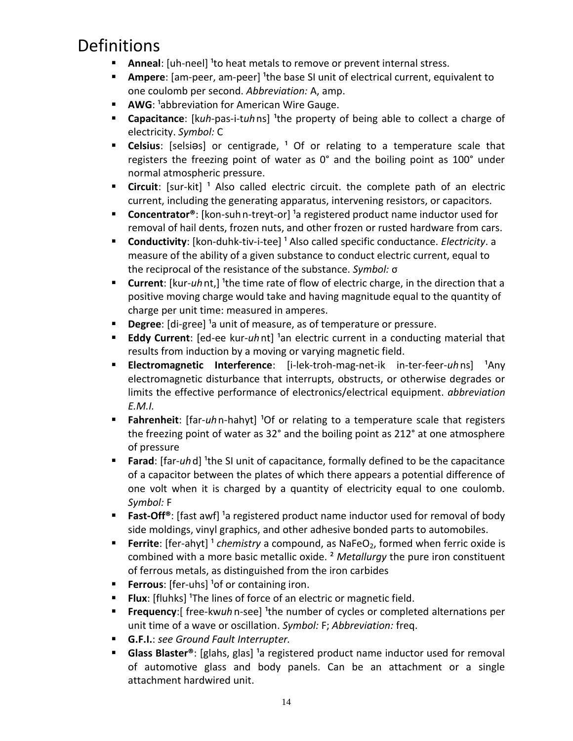### Definitions

- **Anneal:** [uh-neel] <sup>1</sup>to heat metals to remove or prevent internal stress.
- **Ampere**: [am-peer, am-peer] <sup>1</sup>the base SI unit of electrical current, equivalent to one coulomb per second. *Abbreviation:* A, amp.
- **AWG**: <sup>1</sup>abbreviation for American Wire Gauge.
- **Capacitance**: [kuh-pas-i-tuhns] <sup>1</sup>the property of being able to collect a charge of electricity. *Symbol:* C
- **Celsius**: [selsias] or centigrade, <sup>1</sup> Of or relating to a temperature scale that registers the freezing point of water as 0° and the boiling point as 100° under normal atmospheric pressure.
- **Circuit**: [sur-kit]<sup>1</sup> Also called [electric circuit.](http://dictionary.reference.com/search?q=electric%20circuit) the complete path of an electric current, including the generating apparatus, intervening resistors, or capacitors.
- **Concentrator®**: [kon-suh n-treyt-or] <sup>1</sup>a registered product name inductor used for removal of hail dents, frozen nuts, and other frozen or rusted hardware from cars.
- **Conductivity**: [kon-duhk-tiv-i-tee] <sup>1</sup> Also called [specific conductance.](http://dictionary.reference.com/search?q=specific%20conductance) *Electricity*. a measure of the ability of a given substance to conduct electric current, equal to the reciprocal of the resistance of the substance. *Symbol:* σ
- **Current**: [kur-*uh* nt,] <sup>1</sup>the time rate of flow of electric charge, in the direction that a positive moving charge would take and having magnitude equal to the quantity of charge per unit time: measured in amperes.
- **Degree**: [di-gree] <sup>1</sup>a unit of measure, as of temperature or pressure.
- **Eddy Current**: [ed-ee kur-uhnt] <sup>1</sup>an electric current in a conducting material that results from induction by a moving or varying magnetic field.
- **Electromagnetic Interference**: [i-lek-troh-mag-net-ik in-ter-feer-uhns] <sup>1</sup>Any electromagnetic disturbance that interrupts, obstructs, or otherwise degrades or limits the effective performance of electronics/electrical equipment. *abbreviation E.M.I.*
- **Fahrenheit**: [far-uhn-hahyt] <sup>1</sup>Of or relating to a temperature scale that registers the freezing point of water as 32° and the boiling point as 212° at one atmosphere of pressure
- **Farad**: [far-*uh*d] <sup>1</sup>the SI unit of capacitance, formally defined to be the capacitance of a capacitor between the plates of which there appears a potential difference of one volt when it is charged by a quantity of electricity equal to one coulomb. *Symbol:* F
- **Fast-Off<sup>®</sup>:** [fast awf] <sup>1</sup>a registered product name inductor used for removal of body side moldings, vinyl graphics, and other adhesive bonded parts to automobiles.
- **Ferrite**: [fer-ahyt]<sup>1</sup> *chemistry* a compound, as NaFeO<sub>2</sub>, formed when ferric oxide is combined with a more basic metallic oxide. ² *Metallurgy* the pure iron constituent of ferrous metals, as distinguished from the iron carbides
- **Ferrous**: [fer-uhs] <sup>1</sup> of or containing iron.
- **Flux**: [fluhks] <sup>1</sup>The lines of force of an electric or magnetic field.
- **Figuency**: [ free-kwuh n-see] <sup>1</sup> the number of cycles or completed alternations per unit time of a wave or oscillation. *Symbol:* F; *Abbreviation:* freq.
- **G.F.I.**: *see Ground Fault Interrupter.*
- Glass Blaster<sup>®</sup>: [glahs, glas] <sup>1</sup>a registered product name inductor used for removal of automotive glass and body panels. Can be an attachment or a single attachment hardwired unit.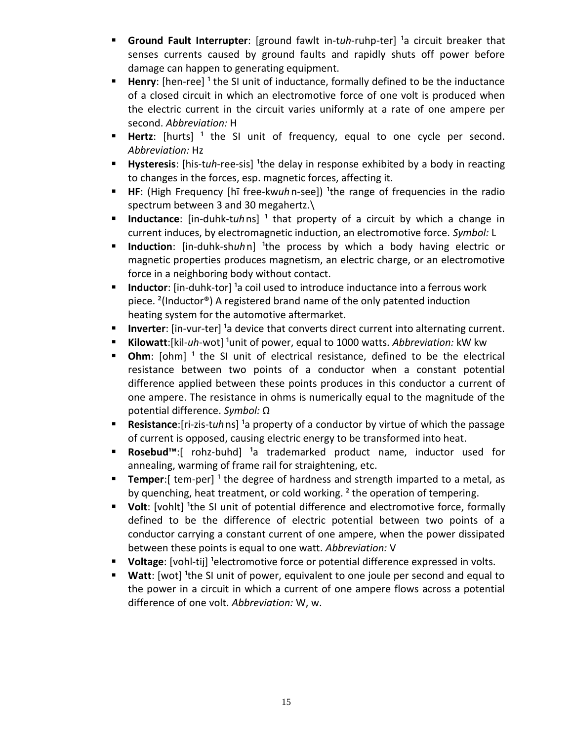- **Ground Fault Interrupter**: [ground fawlt in-tuh-ruhp-ter] <sup>1</sup>a circuit breaker that senses currents caused by ground faults and rapidly shuts off power before damage can happen to generating equipment.
- Henry: [hen-ree]<sup>1</sup> the SI unit of inductance, formally defined to be the inductance of a closed circuit in which an electromotive force of one volt is produced when the electric current in the circuit varies uniformly at a rate of one ampere per second. *Abbreviation:* H
- **Hertz**: [hurts]<sup>1</sup> the SI unit of frequency, equal to one cycle per second. *Abbreviation:* Hz
- **Hysteresis**: [his-tuh-ree-sis] <sup>1</sup>the delay in response exhibited by a body in reacting to changes in the forces, esp. magnetic forces, affecting it.
- **HE**: (High Frequency [hī free-kwuhn-see]) <sup>1</sup>the range of frequencies in the radio spectrum between 3 and 30 megahertz.\
- **Inductance**: [in-duhk-tuhns]<sup>1</sup> that property of a circuit by which a change in current induces, by electromagnetic induction, an electromotive force. *Symbol:* L
- **Induction**: [in-duhk-shuhn] <sup>1</sup>the process by which a body having electric or magnetic properties produces magnetism, an electric charge, or an electromotive force in a neighboring body without contact.
- **Inductor**: [in-duhk-tor]<sup>1</sup> a coil used to introduce inductance into a ferrous work piece. ²(Inductor®) A registered brand name of the only patented induction heating system for the automotive aftermarket.
- **Inverter**: [in-vur-ter] <sup>1</sup> a device that converts direct current into alternating current.
- Kilowatt:[kil-uh-wot] <sup>1</sup>unit of power, equal to 1000 watts. Abbreviation: kW kw
- **Ohm**: [ohm]<sup>1</sup> the SI unit of electrical resistance, defined to be the electrical resistance between two points of a conductor when a constant potential difference applied between these points produces in this conductor a current of one ampere. The resistance in ohms is numerically equal to the magnitude of the potential difference. *Symbol:* Ω
- **Resistance**: [ri-zis-tuh ns] <sup>1</sup>a property of a conductor by virtue of which the passage of current is opposed, causing electric energy to be transformed into heat.
- **Rosebud™**:[ rohz-buhd] <sup>1</sup>a trademarked product name, inductor used for annealing, warming of frame rail for straightening, etc.
- **Temper:**[ tem-per]<sup>1</sup> the degree of hardness and strength imparted to a metal, as by quenching, heat treatment, or cold working.<sup>2</sup> the operation of tempering.
- **Volt**: [vohlt] <sup>1</sup>the SI unit of potential difference and electromotive force, formally defined to be the difference of electric potential between two points of a conductor carrying a constant current of one ampere, when the power dissipated between these points is equal to one watt. *Abbreviation:* V
- **Voltage**: [vohl-tij] <sup>1</sup>electromotive force or potential difference expressed in volts.
- **Watt:** [wot] <sup>1</sup>the SI unit of power, equivalent to one joule per second and equal to the power in a circuit in which a current of one ampere flows across a potential difference of one volt. *Abbreviation:* W, w.